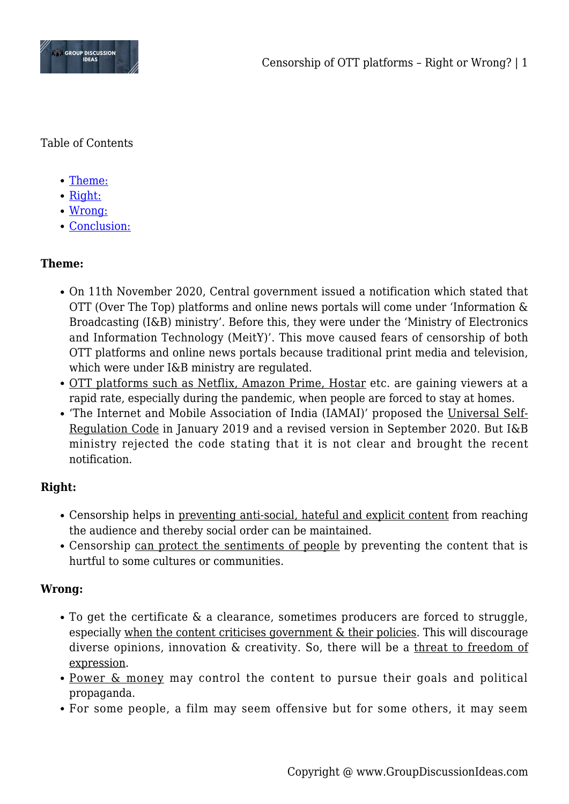

Table of Contents

- [Theme:](#page--1-0)
- [Right:](#page--1-0)
- [Wrong:](#page--1-0)
- [Conclusion:](#page--1-0)

# **Theme:**

- On 11th November 2020, Central government issued a notification which stated that OTT (Over The Top) platforms and online news portals will come under 'Information & Broadcasting (I&B) ministry'. Before this, they were under the 'Ministry of Electronics and Information Technology (MeitY)'. This move caused fears of censorship of both OTT platforms and online news portals because traditional print media and television, which were under I&B ministry are regulated.
- OTT platforms such as Netflix, Amazon Prime, Hostar etc. are gaining viewers at a rapid rate, especially during the pandemic, when people are forced to stay at homes.
- 'The Internet and Mobile Association of India (IAMAI)' proposed the Universal Self-Regulation Code in January 2019 and a revised version in September 2020. But I&B ministry rejected the code stating that it is not clear and brought the recent notification.

## **Right:**

- Censorship helps in preventing anti-social, hateful and explicit content from reaching the audience and thereby social order can be maintained.
- Censorship can protect the sentiments of people by preventing the content that is hurtful to some cultures or communities.

## **Wrong:**

- To get the certificate & a clearance, sometimes producers are forced to struggle, especially when the content criticises government & their policies. This will discourage diverse opinions, innovation & creativity. So, there will be a threat to freedom of expression.
- Power & money may control the content to pursue their goals and political propaganda.
- For some people, a film may seem offensive but for some others, it may seem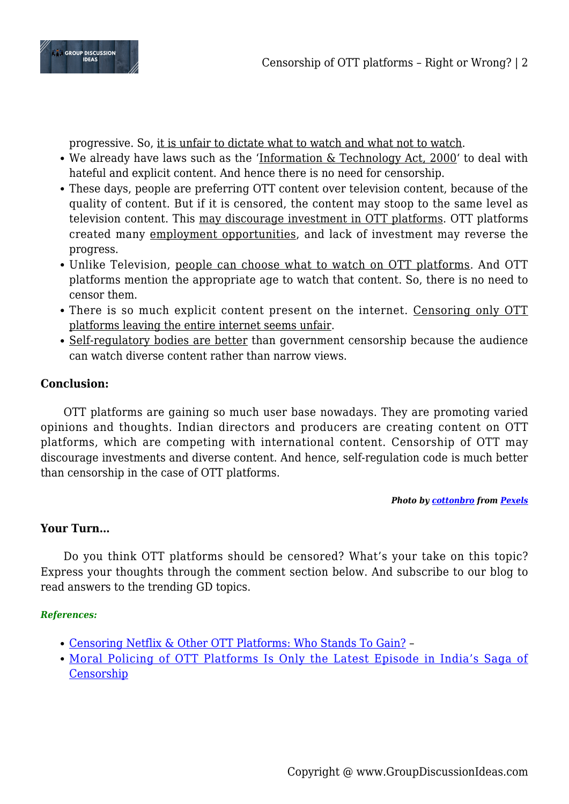

progressive. So, it is unfair to dictate what to watch and what not to watch.

- We already have laws such as the 'Information & Technology Act, 2000' to deal with hateful and explicit content. And hence there is no need for censorship.
- These days, people are preferring OTT content over television content, because of the quality of content. But if it is censored, the content may stoop to the same level as television content. This may discourage investment in OTT platforms. OTT platforms created many employment opportunities, and lack of investment may reverse the progress.
- Unlike Television, people can choose what to watch on OTT platforms. And OTT platforms mention the appropriate age to watch that content. So, there is no need to censor them.
- There is so much explicit content present on the internet. Censoring only OTT platforms leaving the entire internet seems unfair.
- Self-regulatory bodies are better than government censorship because the audience can watch diverse content rather than narrow views.

## **Conclusion:**

OTT platforms are gaining so much user base nowadays. They are promoting varied opinions and thoughts. Indian directors and producers are creating content on OTT platforms, which are competing with international content. Censorship of OTT may discourage investments and diverse content. And hence, self-regulation code is much better than censorship in the case of OTT platforms.

#### *Photo by [cottonbro](https://www.pexels.com/@cottonbro?utm_content=attributionCopyText&utm_medium=referral&utm_source=pexels) from [Pexels](https://www.pexels.com/photo/netflix-on-an-imac-5082568/?utm_content=attributionCopyText&utm_medium=referral&utm_source=pexels)*

#### **Your Turn…**

Do you think OTT platforms should be censored? What's your take on this topic? Express your thoughts through the comment section below. And subscribe to our blog to read answers to the trending GD topics.

#### *References:*

- [Censoring Netflix & Other OTT Platforms: Who Stands To Gain?](https://www.thequint.com/voices/opinion/netflix-amazon-prime-hotstar-ott-platforms-ministry-of-information-and-broadcasting-censorship) –
- [Moral Policing of OTT Platforms Is Only the Latest Episode in India's Saga of](https://thewire.in/media/moral-policing-netflix-amazon-prime-latest-episode-censorship-india) [Censorship](https://thewire.in/media/moral-policing-netflix-amazon-prime-latest-episode-censorship-india)